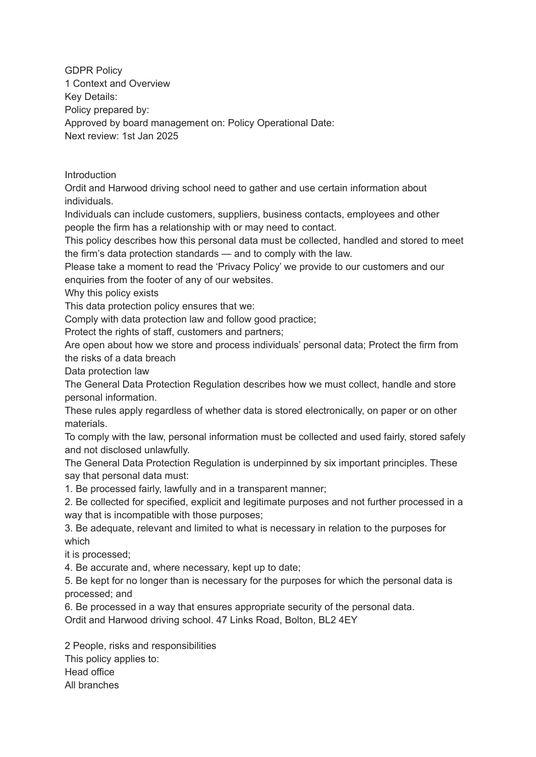GDPR Policy 1 Context and Overview Key Details: Policy prepared by: Approved by board management on: Policy Operational Date: Next review: 1st Jan 2025

Introduction

Ordit and Harwood driving school need to gather and use certain information about individuals.

Individuals can include customers, suppliers, business contacts, employees and other people the firm has a relationship with or may need to contact.

This policy describes how this personal data must be collected, handled and stored to meet the firm's data protection standards — and to comply with the law.

Please take a moment to read the 'Privacy Policy' we provide to our customers and our enquiries from the footer of any of our websites.

Why this policy exists

This data protection policy ensures that we:

Comply with data protection law and follow good practice;

Protect the rights of staff, customers and partners;

Are open about how we store and process individuals' personal data; Protect the firm from the risks of a data breach

Data protection law

The General Data Protection Regulation describes how we must collect, handle and store personal information.

These rules apply regardless of whether data is stored electronically, on paper or on other materials.

To comply with the law, personal information must be collected and used fairly, stored safely and not disclosed unlawfully.

The General Data Protection Regulation is underpinned by six important principles. These say that personal data must:

1. Be processed fairly, lawfully and in a transparent manner;

2. Be collected for specified, explicit and legitimate purposes and not further processed in a way that is incompatible with those purposes;

3. Be adequate, relevant and limited to what is necessary in relation to the purposes for which

it is processed;

4. Be accurate and, where necessary, kept up to date;

5. Be kept for no longer than is necessary for the purposes for which the personal data is processed; and

6. Be processed in a way that ensures appropriate security of the personal data.

Ordit and Harwood driving school. 47 Links Road, Bolton, BL2 4EY

2 People, risks and responsibilities This policy applies to: Head office All branches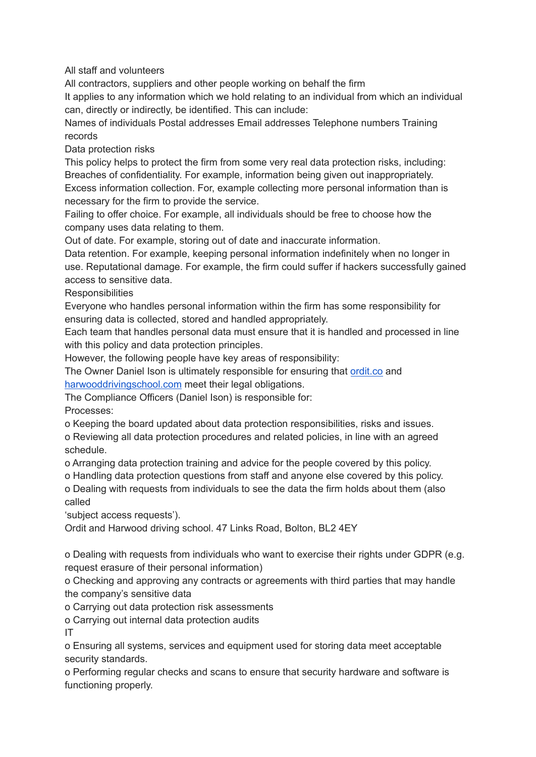All staff and volunteers

All contractors, suppliers and other people working on behalf the firm

It applies to any information which we hold relating to an individual from which an individual can, directly or indirectly, be identified. This can include:

Names of individuals Postal addresses Email addresses Telephone numbers Training records

Data protection risks

This policy helps to protect the firm from some very real data protection risks, including: Breaches of confidentiality. For example, information being given out inappropriately. Excess information collection. For, example collecting more personal information than is necessary for the firm to provide the service.

Failing to offer choice. For example, all individuals should be free to choose how the company uses data relating to them.

Out of date. For example, storing out of date and inaccurate information.

Data retention. For example, keeping personal information indefinitely when no longer in use. Reputational damage. For example, the firm could suffer if hackers successfully gained access to sensitive data.

**Responsibilities** 

Everyone who handles personal information within the firm has some responsibility for ensuring data is collected, stored and handled appropriately.

Each team that handles personal data must ensure that it is handled and processed in line with this policy and data protection principles.

However, the following people have key areas of responsibility:

The Owner Daniel Ison is ultimately responsible for ensuring that [ordit.co](http://ordit.co/) and [harwooddrivingschool.com](http://harwooddrivingschool.com/) meet their legal obligations.

The Compliance Officers (Daniel Ison) is responsible for:

Processes:

o Keeping the board updated about data protection responsibilities, risks and issues.

o Reviewing all data protection procedures and related policies, in line with an agreed schedule.

o Arranging data protection training and advice for the people covered by this policy.

o Handling data protection questions from staff and anyone else covered by this policy.

o Dealing with requests from individuals to see the data the firm holds about them (also called

'subject access requests').

Ordit and Harwood driving school. 47 Links Road, Bolton, BL2 4EY

o Dealing with requests from individuals who want to exercise their rights under GDPR (e.g. request erasure of their personal information)

o Checking and approving any contracts or agreements with third parties that may handle the company's sensitive data

o Carrying out data protection risk assessments

o Carrying out internal data protection audits

IT

o Ensuring all systems, services and equipment used for storing data meet acceptable security standards.

o Performing regular checks and scans to ensure that security hardware and software is functioning properly.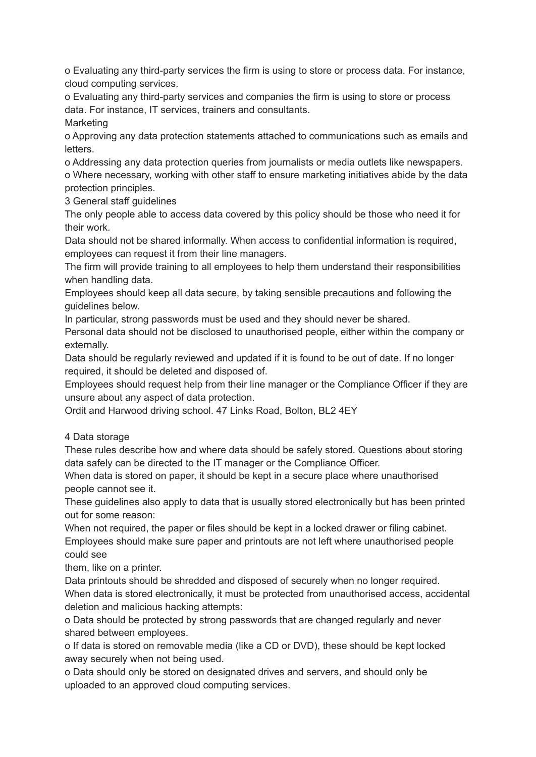o Evaluating any third-party services the firm is using to store or process data. For instance, cloud computing services.

o Evaluating any third-party services and companies the firm is using to store or process data. For instance, IT services, trainers and consultants.

Marketing

o Approving any data protection statements attached to communications such as emails and letters.

o Addressing any data protection queries from journalists or media outlets like newspapers. o Where necessary, working with other staff to ensure marketing initiatives abide by the data protection principles.

3 General staff guidelines

The only people able to access data covered by this policy should be those who need it for their work.

Data should not be shared informally. When access to confidential information is required, employees can request it from their line managers.

The firm will provide training to all employees to help them understand their responsibilities when handling data.

Employees should keep all data secure, by taking sensible precautions and following the guidelines below.

In particular, strong passwords must be used and they should never be shared.

Personal data should not be disclosed to unauthorised people, either within the company or externally.

Data should be regularly reviewed and updated if it is found to be out of date. If no longer required, it should be deleted and disposed of.

Employees should request help from their line manager or the Compliance Officer if they are unsure about any aspect of data protection.

Ordit and Harwood driving school. 47 Links Road, Bolton, BL2 4EY

## 4 Data storage

These rules describe how and where data should be safely stored. Questions about storing data safely can be directed to the IT manager or the Compliance Officer.

When data is stored on paper, it should be kept in a secure place where unauthorised people cannot see it.

These guidelines also apply to data that is usually stored electronically but has been printed out for some reason:

When not required, the paper or files should be kept in a locked drawer or filing cabinet. Employees should make sure paper and printouts are not left where unauthorised people could see

them, like on a printer.

Data printouts should be shredded and disposed of securely when no longer required. When data is stored electronically, it must be protected from unauthorised access, accidental deletion and malicious hacking attempts:

o Data should be protected by strong passwords that are changed regularly and never shared between employees.

o If data is stored on removable media (like a CD or DVD), these should be kept locked away securely when not being used.

o Data should only be stored on designated drives and servers, and should only be uploaded to an approved cloud computing services.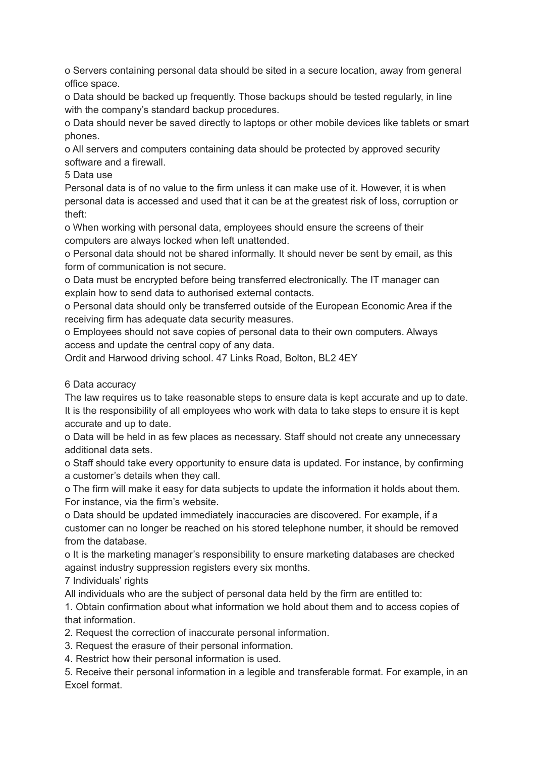o Servers containing personal data should be sited in a secure location, away from general office space.

o Data should be backed up frequently. Those backups should be tested regularly, in line with the company's standard backup procedures.

o Data should never be saved directly to laptops or other mobile devices like tablets or smart phones.

o All servers and computers containing data should be protected by approved security software and a firewall.

5 Data use

Personal data is of no value to the firm unless it can make use of it. However, it is when personal data is accessed and used that it can be at the greatest risk of loss, corruption or theft:

o When working with personal data, employees should ensure the screens of their computers are always locked when left unattended.

o Personal data should not be shared informally. It should never be sent by email, as this form of communication is not secure.

o Data must be encrypted before being transferred electronically. The IT manager can explain how to send data to authorised external contacts.

o Personal data should only be transferred outside of the European Economic Area if the receiving firm has adequate data security measures.

o Employees should not save copies of personal data to their own computers. Always access and update the central copy of any data.

Ordit and Harwood driving school. 47 Links Road, Bolton, BL2 4EY

## 6 Data accuracy

The law requires us to take reasonable steps to ensure data is kept accurate and up to date. It is the responsibility of all employees who work with data to take steps to ensure it is kept accurate and up to date.

o Data will be held in as few places as necessary. Staff should not create any unnecessary additional data sets.

o Staff should take every opportunity to ensure data is updated. For instance, by confirming a customer's details when they call.

o The firm will make it easy for data subjects to update the information it holds about them. For instance, via the firm's website.

o Data should be updated immediately inaccuracies are discovered. For example, if a customer can no longer be reached on his stored telephone number, it should be removed from the database.

o It is the marketing manager's responsibility to ensure marketing databases are checked against industry suppression registers every six months.

7 Individuals' rights

All individuals who are the subject of personal data held by the firm are entitled to:

1. Obtain confirmation about what information we hold about them and to access copies of that information.

2. Request the correction of inaccurate personal information.

3. Request the erasure of their personal information.

4. Restrict how their personal information is used.

5. Receive their personal information in a legible and transferable format. For example, in an Excel format.